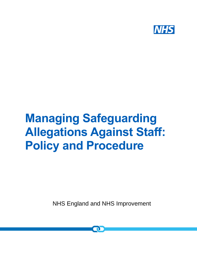

# **Managing Safeguarding Allegations Against Staff: Policy and Procedure**

NHS England and NHS Improvement

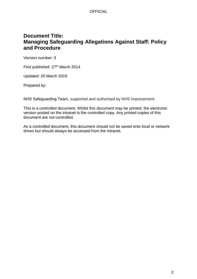## **Document Title: Managing Safeguarding Allegations Against Staff: Policy and Procedure**

Version number: 3

First published: 27<sup>th</sup> March 2014

Updated: 25 March 2019

Prepared by:

NHS Safeguarding Team, supported and authorised by NHS Improvement.

This is a controlled document. Whilst this document may be printed, the electronic version posted on the intranet is the controlled copy. Any printed copies of this document are not controlled.

As a controlled document, this document should not be saved onto local or network drives but should always be accessed from the intranet.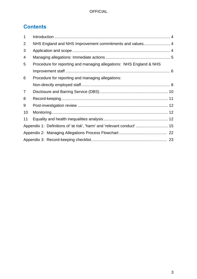# **Contents**

| $\mathbf 1$    |                                                                        |  |  |
|----------------|------------------------------------------------------------------------|--|--|
| 2              | NHS England and NHS Improvement commitments and values 4               |  |  |
| 3              |                                                                        |  |  |
| 4              |                                                                        |  |  |
| 5              | Procedure for reporting and managing allegations: NHS England & NHS    |  |  |
|                |                                                                        |  |  |
| 6              | Procedure for reporting and managing allegations:                      |  |  |
|                |                                                                        |  |  |
| $\overline{7}$ |                                                                        |  |  |
| 8              |                                                                        |  |  |
| 9              |                                                                        |  |  |
| 10             |                                                                        |  |  |
| 11             |                                                                        |  |  |
|                | Appendix 1: Definitions of 'at risk', 'harm' and 'relevant conduct' 15 |  |  |
|                |                                                                        |  |  |
|                |                                                                        |  |  |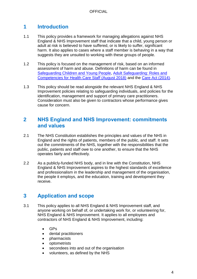# **1 Introduction**

- 1.1 This policy provides a framework for managing allegations against NHS England & NHS Improvement staff that indicate that a child, young person or adult at risk is believed to have suffered, or is likely to suffer, significant harm. It also applies to cases where a staff member is behaving in a way that suggests they are unsuited to working with these groups of people.
- 1.2 This policy is focused on the management of risk, based on an informed assessment of harm and abuse. Definitions of harm can be found in [Safeguarding Children and Young People,](https://www.gov.uk/government/publications/safeguarding-children-and-young-people/safeguarding-children-and-young-people) [Adult Safeguarding: Roles and](https://www.rcn.org.uk/-/media/royal-college-of-nursing/documents/publications/2018/august/pdf-007069.pdf)  [Competencies for Health Care Staff \(August 2018\)](https://www.rcn.org.uk/-/media/royal-college-of-nursing/documents/publications/2018/august/pdf-007069.pdf) and the [Care Act \(2014\).](http://www.legislation.gov.uk/ukpga/2014/23/contents/enacted)
- 1.3 This policy should be read alongside the relevant NHS England & NHS Improvement policies relating to safeguarding individuals, and policies for the identification, management and support of primary care practitioners. Consideration must also be given to contractors whose performance gives cause for concern.

## **2 NHS England and NHS Improvement: commitments and values**

- 2.1 The NHS Constitution establishes the principles and values of the NHS in England and the rights of patients, members of the public, and staff. It sets out the commitments of the NHS, together with the responsibilities that the public, patients and staff owe to one another, to ensure that the NHS operates fairly and effectively.
- 2.2 As a publicly-funded NHS body, and in line with the Constitution, NHS England & NHS Improvement aspires to the highest standards of excellence and professionalism in the leadership and management of the organisation, the people it employs, and the education, training and development they receive.

## **3 Application and scope**

- 3.1 This policy applies to all NHS England & NHS Improvement staff, and anyone working on behalf of, or undertaking work for, or volunteering for, NHS England & NHS Improvement. It applies to all employees and contractors of NHS England & NHS Improvement, including:
	- GPs
	- dental practitioners
	- pharmacists
	- optometrists
	- secondees into and out of the organisation
	- volunteers, as defined by the NHS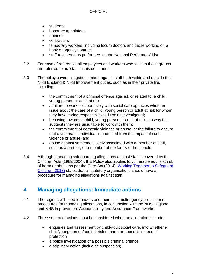- students
- honorary appointees
- **trainees**
- contractors
- temporary workers, including locum doctors and those working on a bank or agency contract
- staff registered as performers on the National Performers' List.
- 3.2 For ease of reference, all employees and workers who fall into these groups are referred to as 'staff' in this document.
- 3.3 The policy covers allegations made against staff both within and outside their NHS England & NHS Improvement duties, such as in their private life, including:
	- the commitment of a criminal offence against, or related to, a child, young person or adult at risk;
	- a failure to work collaboratively with social care agencies when an issue about the care of a child, young person or adult at risk for whom they have caring responsibilities, is being investigated;
	- behaving towards a child, young person or adult at risk in a way that suggests they are unsuitable to work with them;
	- the commitment of domestic violence or abuse, or the failure to ensure that a vulnerable individual is protected from the impact of such violence or abuse; and
	- abuse against someone closely associated with a member of staff, such as a partner, or a member of the family or household.
- 3.4 Although managing safeguarding allegations against staff is covered by the Children Acts (1989/2004), this Policy also applies to vulnerable adults at risk of harm or abuse as per the Care Act (2014). [Working Together to](https://www.gov.uk/government/publications/working-together-to-safeguard-children--2) Safeguard [Children \(2018\)](https://www.gov.uk/government/publications/working-together-to-safeguard-children--2) states that all statutory organisations should have a procedure for managing allegations against staff.

## **4 Managing allegations: Immediate actions**

- 4.1 The regions will need to understand their local multi-agency policies and procedures for managing allegations, in conjunction with the NHS England and NHS Improvement Accountability and Assurance Frameworks.
- 4.2 Three separate actions must be considered when an allegation is made:
	- enquiries and assessment by child/adult social care, into whether a child/young person/adult at risk of harm or abuse is in need of protection
	- a police investigation of a possible criminal offence
	- disciplinary action (including suspension).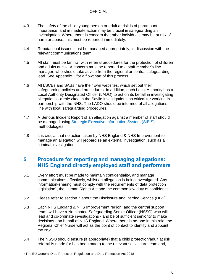- 4.3 The safety of the child, young person or adult at risk is of paramount importance, and immediate action may be crucial in safeguarding an investigation. Where there is concern that other individuals may be at risk of harm or abuse, this must be reported immediately.
- 4.4 Reputational issues must be managed appropriately, in discussion with the relevant communications team.
- 4.5 All staff must be familiar with referral procedures for the protection of children and adults at risk. A concern must be reported to a staff member's line manager, who should take advice from the regional or central safeguarding lead. See Appendix 2 for a flowchart of this process.
- 4.6 All LSCBs and SABs have their own websites, which set out their safeguarding policies and procedures. In addition, each Local Authority has a Local Authority Designated Officer (LADO) to act on its behalf in investigating allegations - a role cited in the Savile investigations as critical for working in partnership with the NHS. The LADO should be informed of all allegations, in line with local safeguarding procedures.
- 4.7 A Serious Incident Report of an allegation against a member of staff should be managed using **[Strategic Executive Information System \(StEIS\)](https://improvement.nhs.uk/resources/steis/)** methodologies.
- 4.8 It is crucial that no action taken by NHS England & NHS Improvement to manage an allegation will jeopardise an external investigation, such as a criminal investigation.

## **5 Procedure for reporting and managing allegations: NHS England directly employed staff and performers**

- 5.1 Every effort must be made to maintain confidentiality, and manage communications effectively, whilst an allegation is being investigated. Any information-sharing must comply with the requirements of data protection legislation<sup>1</sup>, the Human Rights Act and the common law duty of confidence.
- 5.2 Please refer to section 7 about the Disclosure and Barring Service (DBS).
- 5.3 Each NHS England & NHS Improvement region, and the central support team, will have a Nominated Safeguarding Senior Officer (NSSO) who will lead and co-ordinate investigations - and be of sufficient seniority to make decisions - on behalf of NHS England. Where there is no-one in this role, the Regional Chief Nurse will act as the point of contact to identify and appoint the NSSO.
- 5.4 The NSSO should ensure (if appropriate) that a child protection/adult at risk referral is made (or has been made) to the relevant social care team and,

 <sup>1</sup> The EU General Data Protection Regulation and Data Protection Act 2018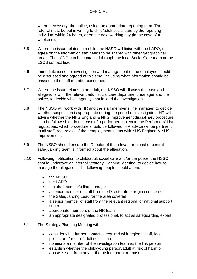where necessary, the police, using the appropriate reporting form. The referral must be put in writing to child/adult social care by the reporting individual within 24 hours, or on the next working day (in the case of a weekend).

- 5.5 Where the issue relates to a child, the NSSO will liaise with the LADO, to agree on the information that needs to be shared with other geographical areas. The LADO can be contacted through the local Social Care team or the LSCB contact lead.
- 5.6 Immediate issues of investigation and management of the employee should be discussed and agreed at this time, including what information should be passed to the staff member concerned.
- 5.7 Where the issue relates to an adult, the NSSO will discuss the case and allegations with the relevant adult social care department manager and the police, to decide which agency should lead the investigation.
- 5.8 The NSSO will work with HR and the staff member's line manager, to decide whether suspension is appropriate during the period of investigation. HR will advise whether the NHS England & NHS Improvement disciplinary procedure is to be followed, or, in the case of a performer subject to the Performers' List regulations, which procedure should be followed. HR advice will be pertinent to all staff, regardless of their employment status with NHS England & NHS Improvement.
- 5.9 The NSSO should ensure the Director of the relevant regional or central safeguarding team is informed about the allegation.
- 5.10 Following notification to child/adult social care and/or the police, the NSSO should undertake an internal Strategy Planning Meeting, to decide how to manage the allegation. The following people should attend:
	- the NSSO
	- the LADO
	- the staff member's line manager
	- a senior member of staff from the Directorate or region concerned
	- the Safeguarding Lead for the area covered
	- a senior member of staff from the relevant regional or national support centre
	- appropriate members of the HR team
	- an appropriate designated professional, to act as safeguarding expert.
- 5.11 The Strategy Planning Meeting will:
	- consider what further contact is required with regional staff, local police, and/or child/adult social care
	- nominate a member of the investigation team as the link person
	- establish whether the child/young person/adult at risk of harm or abuse is safe from any further risk of harm or abuse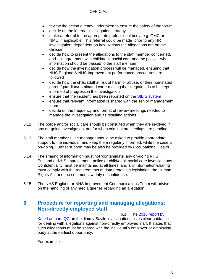- review the action already undertaken to ensure the safety of the victim
- decide on the internal investigation strategy
- make a referral to the appropriate professional body, e.g. GMC or NMC, if applicable. This referral could be made prior to any HR investigation, dependent on how serious the allegations are on the clinician
- decide how to present the allegations to the staff member concerned, and – in agreement with child/adult social care and the police - what information should be passed to the staff member
- decide how the investigation process will be managed, ensuring that NHS England & NHS Improvement performance procedures are followed
- decide how the child/adult at risk of harm or abuse, or their nominated parent/guardian/nominated carer making the allegation, is to be kept informed of progress in the investigation
- ensure that the incident has been reported on the StEIS [system](https://improvement.nhs.uk/resources/steis/)
- ensure that relevant information is shared with the senior management team
- decide on the frequency and format of review meetings needed to manage the investigation and its resulting actions.
- 5.12 The police and/or social care should be consulted when they are involved in any on-going investigation, and/or when criminal proceedings are pending.
- 5.13 The staff member's line manager should be asked to provide appropriate support to the individual, and keep them regularly informed, while the case is on-going. Further support may be also be provided by Occupational Health.
- 5.14 The sharing of information must not 'contaminate' any on-going NHS England or NHS Improvement, police or child/adult social care investigations. Confidentiality must be maintained at all times, and any information-sharing must comply with the requirements of data protection legislation, the Human Rights Act and the common law duty of confidence.
- 5.15 The NHS England or NHS Improvement Communications Team will advise on the handling of any media queries regarding an allegation.

## **6 Procedure for reporting and managing allegations: Non-directly employed staff**

6.1 The [2015 report by](https://www.gov.uk/government/uploads/system/uploads/attachment_data/file/407209/KL_lessons_learned_report_FINAL.pdf) 

[Kate Lampard QC](https://www.gov.uk/government/uploads/system/uploads/attachment_data/file/407209/KL_lessons_learned_report_FINAL.pdf) on the Jimmy Savile investigations gives clear guidance for dealing with allegations against non-directly employed staff. It states that such allegations must be shared with the individual's employer or employing body at the earliest opportunity.

For example: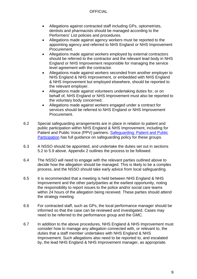- Allegations against contracted staff including GPs, optometrists, dentists and pharmacists should be managed according to the Performers' List policies and procedures.
- Allegations made against agency workers must be reported to the appointing agency and referred to NHS England or NHS Improvement Procurement.
- Allegations made against workers employed by external contractors should be referred to the contractor and the relevant lead body in NHS England or NHS Improvement responsible for managing the service level agreement with the contractor.
- Allegations made against workers seconded from another employer to NHS England & NHS Improvement, or embedded with NHS England & NHS Improvement but employed elsewhere, should be reported to the relevant employer.
- Allegations made against volunteers undertaking duties for, or on behalf of, NHS England or NHS Improvement must also be reported to the voluntary body concerned.
- Allegations made against workers engaged under a contract for services should be referred to NHS England or NHS Improvement Procurement.
- 6.2 Special safeguarding arrangements are in place in relation to patient and public participation within NHS England & NHS Improvement, including for Patient and Public Voice (PPV) partners. [Safeguarding: Patient and Public](https://nhsengland.sharepoint.com/TeamCentre/Nursing/NursingDivision/NursingDivTWA/Shared%20Documents/Safeguarding%20and%20Patient%20and%20Public%20Participation%20Policy.pdf)  [Participation](https://nhsengland.sharepoint.com/TeamCentre/Nursing/NursingDivision/NursingDivTWA/Shared%20Documents/Safeguarding%20and%20Patient%20and%20Public%20Participation%20Policy.pdf) has full guidance on safeguarding policy for these groups.
- 6.3 A NSSO should be appointed, and undertake the duties set out in sections 5.2 to 5.9 above. Appendix 2 outlines the process to be followed.
- 6.4 The NSSO will need to engage with the relevant parties outlined above to decide how the allegation should be managed. This is likely to be a complex process, and the NSSO should take early advice from local safeguarding.
- 6.5 It is recommended that a meeting is held between NHS England & NHS Improvement and the other party/parties at the earliest opportunity, noting the responsibility to report issues to the police and/or social care teams within 24 hours of the allegation being received. These parties should attend the strategy meeting.
- 6.6 For contracted staff, such as GPs, the local performance manager should be informed so that the case can be reviewed and investigated. Cases may need to be referred to the performance group and the GMC.
- 6.7 In addition to the above procedures, NHS England & NHS Improvement must consider how to manage any allegation connected with, or relevant to, the duties that a staff member undertakes with NHS England & NHS Improvement. Such allegations also need to be reported to, and escalated by, the lead NHS England & NHS Improvement manager, as appropriate.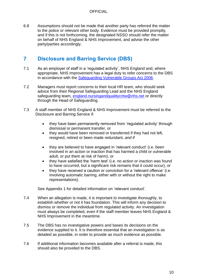6.8 Assumptions should not be made that another party has referred the matter to the police or relevant other body. Evidence must be provided promptly, and if this is not forthcoming, the designated NSSO should refer the matter on behalf of NHS England & NHS Improvement, and advise the other party/parties accordingly.

# **7 Disclosure and Barring Service (DBS)**

- 7.1 As an employer of staff in a 'regulated activity', NHS England and, where appropriate, NHS Improvement has a legal duty to refer concerns to the DBS in accordance with the [Safeguarding Vulnerable Groups Act 2006.](https://www.legislation.gov.uk/ukpga/2006/47/contents)
- 7.2 Managers must report concerns to their local HR team, who should seek advice from their Regional Safeguarding Lead and the NHS England safeguarding team, [england.nursingandqualitycntw@nhs.net](mailto:england.nursingandqualitycntw@nhs.net) or directly through the Head of Safeguarding.
- 7.3 A staff member of NHS England & NHS Improvement must be referred to the Disclosure and Barring Service if:
	- they have been permanently removed from 'regulated activity' through dismissal or permanent transfer, or
	- they would have been removed or transferred if they had not left, resigned, retired or been made redundant, *and if*
	- they are believed to have engaged in 'relevant conduct' (i.e. been involved in an action or inaction that has harmed a child or vulnerable adult, or put them at risk of harm), *or*
	- they have satisfied the 'harm test' (i.e. no action or inaction was found to have occurred, but a significant risk remains that it could occur), *or*
	- they have received a caution or conviction for a 'relevant offence' (i.e. involving automatic barring, either with or without the right to make representations).

See Appendix 1 for detailed information on 'relevant conduct'.

- 7.4 When an allegation is made, it is important to investigate thoroughly, to establish whether or not it has foundation. This will inform any decision to dismiss or remove the individual from regulated activity. An investigation must always be completed, even if the staff member leaves NHS England & NHS Improvement in the meantime.
- 7.5 The DBS has no investigative powers and bases its decisions on the evidence supplied to it. It is therefore essential that an investigation is as detailed as possible, in order to provide as much evidence as possible.
- 7.6 If additional information becomes available after a referral is made, this should also be provided to the DBS.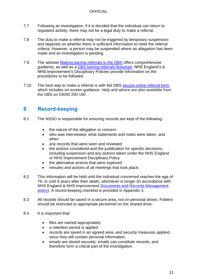- 7.7 Following an investigation, if it is decided that the individual can return to regulated activity, there may not be a legal duty to make a referral.
- 7.8 The duty to make a referral may not be triggered by temporary suspension and depends on whether there is sufficient information to meet the referral criteria. However, a person may be suspended where an allegation has been made and an investigation is pending.
- 7.9 The website [Making barring referrals to the DBS](https://www.gov.uk/guidance/making-barring-referrals-to-the-dbs) offers comprehensive guidance, as well as a [DBS barring referrals flowchart.](https://www.gov.uk/government/publications/dbs-referrals-referral-chart) NHS England's & NHS Improvement's Disciplinary Policies provide information on the procedures to be followed.
- 7.10 The best way to make a referral is with the DBS [secure online referral form,](https://www.gov.uk/government/publications/dbs-referrals-form-and-guidance) which includes on-screen guidance. Help and advice are also available from the DBS on 03000 200 190.

## **8 Record-keeping**

- 8.1 The NSSO is responsible for ensuring records are kept of the following:
	- the nature of the allegation or concern
	- who was interviewed, what statements and notes were taken, and when
	- any records that were seen and reviewed
	- the actions considered and the justification for specific decisions, including suspension and any actions taken under the NHS England or NHS Improvement Disciplinary Policy
	- the alternative actions that were explored
	- minutes and actions of all meetings that took place.
- 8.2 This information will be held until the individual concerned reaches the age of 79, or until 6 years after their death, whichever is longer (in accordance with NHS England & NHS Improvement [Documents and Records Management](https://nhsengland.sharepoint.com/sites/thehub/Policy%20library/Corporate%20Document%20and%20Records%20Management.pdf) [policy\)](https://nhsengland.sharepoint.com/sites/thehub/Policy%20library/Corporate%20Document%20and%20Records%20Management.pdf). A record-keeping checklist is provided in Appendix 3.
- 8.3 All records should be saved in a secure area, not on personal drives. Folders should be restricted to appropriate personnel on the shared drive.
- 8.4 It is important that:
	- files are named appropriately
	- a retention period is applied
	- records are saved in an agreed area, and security measures applied, since they will contain personal information
	- emails are stored securely: emails can constitute records, and therefore form a critical part of the investigation.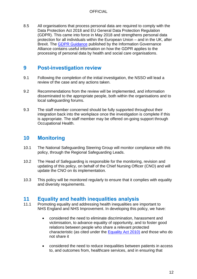8.5 All organisations that process personal data are required to comply with the Data Protection Act 2018 and EU General Data Protection Regulation (GDPR). This came into force in May 2018 and strengthens personal data protection for all individuals within the European Union – and in the UK, after Brexit. The [GDPR Guidance](https://digital.nhs.uk/data-and-information/looking-after-information/data-security-and-information-governance/information-governance-alliance-iga/general-data-protection-regulation-gdpr-guidance) published by the Information Governance Alliance contains useful information on how the GDPR applies to the processing of personal data by health and social care organisations.

## **9 Post-investigation review**

- 9.1 Following the completion of the initial investigation, the NSSO will lead a review of the case and any actions taken.
- 9.2 Recommendations from the review will be implemented, and information disseminated to the appropriate people, both within the organisations and to local safeguarding forums.
- 9.3 The staff member concerned should be fully supported throughout their integration back into the workplace once the investigation is complete if this is appropriate. The staff member may be offered on-going support through Occupational Health.

# **10 Monitoring**

- 10.1 The National Safeguarding Steering Group will monitor compliance with this policy, through the Regional Safeguarding Leads.
- 10.2 The Head of Safeguarding is responsible for the monitoring, revision and updating of this policy, on behalf of the Chief Nursing Officer (CNO) and will update the CNO on its implementation.
- 10.3 This policy will be monitored regularly to ensure that it complies with equality and diversity requirements.

## **11 Equality and health inequalities analysis**

- 11.1 Promoting equality and addressing health inequalities are important to NHS England and NHS Improvement. In developing this policy, we have:
	- considered the need to eliminate discrimination, harassment and victimisation, to advance equality of opportunity, and to foster good relations between people who share a relevant protected characteristic (as cited under the **Equality Act 2010)** and those who do not share it
	- considered the need to reduce inequalities between patients in access to, and outcomes from, healthcare services, and in ensuring that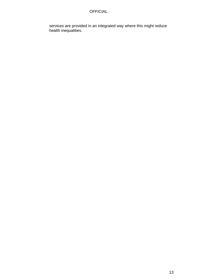services are provided in an integrated way where this might reduce health inequalities.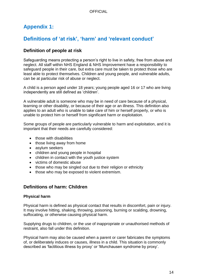# **Appendix 1:**

# **Definitions of 'at risk', 'harm' and 'relevant conduct'**

## **Definition of people at risk**

Safeguarding means protecting a person's right to live in safety, free from abuse and neglect. All staff within NHS England & NHS Improvement have a responsibility to safeguard people in their care, but extra care must be taken to protect those who are least able to protect themselves. Children and young people, and vulnerable adults, can be at particular risk of abuse or neglect.

A child is a person aged under 18 years; young people aged 16 or 17 who are living independently are still defined as 'children'.

A vulnerable adult is someone who may be in need of care because of a physical, learning or other disability, or because of their age or an illness. This definition also applies to an adult who is unable to take care of him or herself properly, or who is unable to protect him or herself from significant harm or exploitation.

Some groups of people are particularly vulnerable to harm and exploitation, and it is important that their needs are carefully considered:

- those with disabilities
- those living away from home
- asylum seekers
- children and young people in hospital
- children in contact with the youth justice system
- victims of domestic abuse
- those who may be singled out due to their religion or ethnicity
- those who may be exposed to violent extremism.

## **Definitions of harm: Children**

#### **Physical harm**

Physical harm is defined as physical contact that results in discomfort, pain or injury. It may involve hitting, shaking, throwing, poisoning, burning or scalding, drowning, suffocating, or otherwise causing physical harm.

Supplying drugs to children, or the use of inappropriate or unauthorised methods of restraint, also fall under this definition.

Physical harm may also be caused when a parent or carer fabricates the symptoms of, or deliberately induces or causes, illness in a child. This situation is commonly described as 'factitious illness by proxy' or 'Munchausen syndrome by proxy'.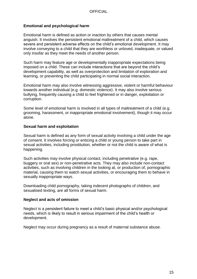#### **Emotional and psychological harm**

Emotional harm is defined as action or inaction by others that causes mental anguish. It involves the persistent emotional maltreatment of a child, which causes severe and persistent adverse effects on the child's emotional development. It may involve conveying to a child that they are worthless or unloved, inadequate, or valued only insofar as they meet the needs of another person.

Such harm may feature age or developmentally inappropriate expectations being imposed on a child. These can include interactions that are beyond the child's development capability, as well as overprotection and limitation of exploration and learning, or preventing the child participating in normal social interaction.

Emotional harm may also involve witnessing aggressive, violent or harmful behaviour towards another individual (e.g. domestic violence). It may also involve serious bullying, frequently causing a child to feel frightened or in danger, exploitation or corruption.

Some level of emotional harm is involved in all types of maltreatment of a child (e.g. grooming, harassment, or inappropriate emotional involvement), though it may occur alone.

#### **Sexual harm and exploitation**

Sexual harm is defined as any form of sexual activity involving a child under the age of consent. It involves forcing or enticing a child or young person to take part in sexual activities, including prostitution, whether or not the child is aware of what is happening.

Such activities may involve physical contact, including penetrative (e.g. rape, buggery or oral sex) or non-penetrative acts. They may also include non-contact activities, such as involving children in the looking at, or production of, pornographic material, causing them to watch sexual activities, or encouraging them to behave in sexually inappropriate ways.

Downloading child pornography, taking indecent photographs of children, and sexualised texting, are all forms of sexual harm.

#### **Neglect and acts of omission**

Neglect is a persistent failure to meet a child's basic physical and/or psychological needs, which is likely to result in serious impairment of the child's health or development.

Neglect may occur during pregnancy as a result of maternal substance abuse.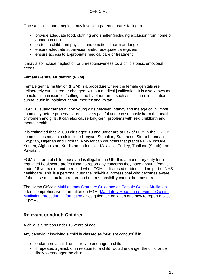Once a child is born, neglect may involve a parent or carer failing to:

- provide adequate food, clothing and shelter (including exclusion from home or abandonment)
- protect a child from physical and emotional harm or danger
- ensure adequate supervision and/or adequate care-givers
- ensure access to appropriate medical care or treatment.

It may also include neglect of, or unresponsiveness to, a child's basic emotional needs.

#### **Female Genital Mutilation (FGM)**

Female genital mutilation (FGM) is a procedure where the female genitals are deliberately cut, injured or changed, without medical justification. It is also known as 'female circumcision' or 'cutting', and by other terms such as initiation, infibulation, sunna, gudniin, halalays, tahur, megrez and khitan.

FGM is usually carried out on young girls between infancy and the age of 15, most commonly before puberty starts. It is very painful and can seriously harm the health of women and girls. It can also cause long-term problems with sex, childbirth and mental health.

It is estimated that 65,000 girls aged 13 and under are at risk of FGM in the UK. UK communities most at risk include Kenyan, Somalian, Sudanese, Sierra Leonean, Egyptian, Nigerian and Eritrean. Non-African countries that practise FGM include Yemen, Afghanistan, Kurdistan, Indonesia, Malaysia, Turkey, Thailand (South) and Pakistan.

FGM is a form of child abuse and is illegal in the UK. It is a mandatory duty for a regulated healthcare professional to report any concerns they have about a female under 18 years old, and to record when FGM is disclosed or identified as part of NHS healthcare. This is a personal duty: the individual professional who becomes aware of the case must make a report, and the responsibility cannot be transferred.

The Home Office's [Multi-agency Statutory Guidance on Female Genital Mutilation](https://www.gov.uk/government/publications/multi-agency-statutory-guidance-on-female-genital-mutilation) offers comprehensive information on FGM; [Mandatory Reporting of Female Genital](https://www.gov.uk/government/publications/mandatory-reporting-of-female-genital-mutilation-procedural-information)  [Mutilation: procedural information](https://www.gov.uk/government/publications/mandatory-reporting-of-female-genital-mutilation-procedural-information) gives guidance on when and how to report a case of FGM.

## **Relevant conduct: Children**

A child is a person under 18 years of age.

Any behaviour involving a child is classed as 'relevant conduct' if it:

- endangers a child, or is likely to endanger a child
- if repeated against, or in relation to, a child, would endanger the child or be likely to endanger the child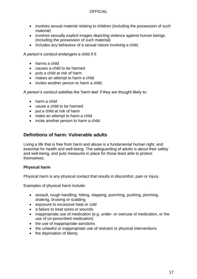- involves sexual material relating to children (including the possession of such material)
- involves sexually explicit images depicting violence against human beings (including the possession of such material)
- includes any behaviour of a sexual nature involving a child.

A person's conduct endangers a child if it:

- harms a child
- causes a child to be harmed
- puts a child at risk of harm
- makes an attempt to harm a child
- incites another person to harm a child.

A person's conduct satisfies the 'harm test' if they are thought likely to:

- harm a child
- cause a child to be harmed
- put a child at risk of harm
- make an attempt to harm a child
- incite another person to harm a child.

#### **Definitions of harm: Vulnerable adults**

Living a life that is free from harm and abuse is a fundamental human right, and essential for health and well-being. The safeguarding of adults is about their safety and well-being, and puts measures in place for those least able to protect themselves.

#### **Physical harm**

Physical harm is any physical contact that results in discomfort, pain or injury.

Examples of physical harm include:

- assault, rough handling, hitting, slapping, punching, pushing, pinching, shaking, bruising or scalding
- exposure to excessive heat or cold
- a failure to treat sores or wounds
- inappropriate use of medication (e.g. under- or overuse of medication, or the use of un-prescribed medication)
- the use of inappropriate sanctions
- the unlawful or inappropriate use of restraint or physical interventions
- the deprivation of liberty.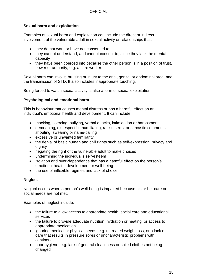#### **Sexual harm and exploitation**

Examples of sexual harm and exploitation can include the direct or indirect involvement of the vulnerable adult in sexual activity or relationships that:

- they do not want or have not consented to
- they cannot understand, and cannot consent to, since they lack the mental capacity
- they have been coerced into because the other person is in a position of trust, power or authority, e.g. a care worker.

Sexual harm can involve bruising or injury to the anal, genital or abdominal area, and the transmission of STD. It also includes inappropriate touching.

Being forced to watch sexual activity is also a form of sexual exploitation.

#### **Psychological and emotional harm**

This is behaviour that causes mental distress or has a harmful effect on an individual's emotional health and development. It can include:

- mocking, coercing, bullying, verbal attacks, intimidation or harassment
- demeaning, disrespectful, humiliating, racist, sexist or sarcastic comments, shouting, swearing or name-calling
- excessive or unwanted familiarity
- the denial of basic human and civil rights such as self-expression, privacy and dignity
- negating the right of the vulnerable adult to make choices
- undermining the individual's self-esteem
- isolation and over-dependence that has a harmful effect on the person's emotional health, development or well-being
- the use of inflexible regimes and lack of choice.

#### **Neglect**

Neglect occurs when a person's well-being is impaired because his or her care or social needs are not met.

Examples of neglect include:

- the failure to allow access to appropriate health, social care and educational services
- the failure to provide adequate nutrition, hydration or heating, or access to appropriate medication
- ignoring medical or physical needs, e.g. untreated weight loss, or a lack of care that results in pressure sores or uncharacteristic problems with continence
- poor hygiene, e.g. lack of general cleanliness or soiled clothes not being changed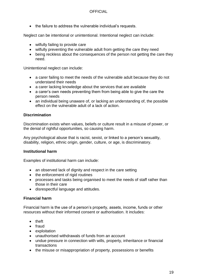• the failure to address the vulnerable individual's requests.

Neglect can be intentional or unintentional. Intentional neglect can include:

- wilfully failing to provide care
- wilfully preventing the vulnerable adult from getting the care they need
- being reckless about the consequences of the person not getting the care they need.

Unintentional neglect can include:

- a carer failing to meet the needs of the vulnerable adult because they do not understand their needs
- a carer lacking knowledge about the services that are available
- a carer's own needs preventing them from being able to give the care the person needs
- an individual being unaware of, or lacking an understanding of, the possible effect on the vulnerable adult of a lack of action.

#### **Discrimination**

Discrimination exists when values, beliefs or culture result in a misuse of power, or the denial of rightful opportunities, so causing harm.

Any psychological abuse that is racist, sexist, or linked to a person's sexuality, disability, religion, ethnic origin, gender, culture, or age, is discriminatory.

#### **Institutional harm**

Examples of institutional harm can include:

- an observed lack of dignity and respect in the care setting
- the enforcement of rigid routines
- processes and tasks being organised to meet the needs of staff rather than those in their care
- disrespectful language and attitudes.

#### **Financial harm**

Financial harm is the use of a person's property, assets, income, funds or other resources without their informed consent or authorisation. It includes:

- theft
- fraud
- exploitation
- unauthorised withdrawals of funds from an account
- undue pressure in connection with wills, property, inheritance or financial transactions
- the misuse or misappropriation of property, possessions or benefits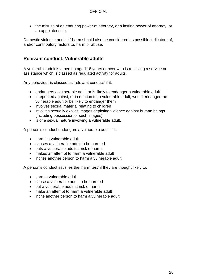• the misuse of an enduring power of attorney, or a lasting power of attorney, or an appointeeship.

Domestic violence and self-harm should also be considered as possible indicators of, and/or contributory factors to, harm or abuse.

## **Relevant conduct: Vulnerable adults**

A vulnerable adult is a person aged 18 years or over who is receiving a service or assistance which is classed as regulated activity for adults.

Any behaviour is classed as 'relevant conduct' if it:

- endangers a vulnerable adult or is likely to endanger a vulnerable adult
- if repeated against, or in relation to, a vulnerable adult, would endanger the vulnerable adult or be likely to endanger them
- involves sexual material relating to children
- involves sexually explicit images depicting violence against human beings (including possession of such images)
- is of a sexual nature involving a vulnerable adult.

A person's conduct endangers a vulnerable adult if it:

- harms a vulnerable adult
- causes a vulnerable adult to be harmed
- puts a vulnerable adult at risk of harm
- makes an attempt to harm a vulnerable adult
- incites another person to harm a vulnerable adult.

A person's conduct satisfies the 'harm test' if they are thought likely to:

- harm a vulnerable adult
- cause a vulnerable adult to be harmed
- put a vulnerable adult at risk of harm
- make an attempt to harm a vulnerable adult
- incite another person to harm a vulnerable adult.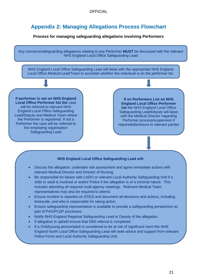# **Appendix 2: Managing Allegations Process Flowchart**

#### **Process for managing safeguarding allegations involving Performers**

Any concerns/safeguarding allegations relating to any Performer **MUST** be discussed with the relevant NHS England Local Office Safeguarding Lead

NHS England Local Office Safeguarding Lead will liaise with the appropriate NHS England Local Office Medical Lead/Team to ascertain whether the individual is on the performer list.

**If performer is not on NHS England Local Office Performer list the** case will be referred to relevant NHS England Local Office Safeguarding Lead/Deputy and Medical Team where the Performer is registered. If not a Performer the case will be referred to the employing organisation Safeguarding Lead

**If on Performers List on NHS England Local Office Performer list** the NHS England Local Office Safeguarding Lead/Deputy will liaise with the Medical Director regarding Performer process/suspension if required/disclosure to relevant parties

#### **NHS England Local Office Safeguarding Lead will:**

- Discuss the allegation, undertake risk assessment and agree immediate actions with relevant Medical Director and Director of Nursing.
- Be responsible for liaison with LADO or relevant Local Authority Safeguarding Unit if a child or adult is involved or and/or Police if the allegation is of a criminal nature. This includes attending all required multi-agency meetings. Relevant Medical Team representatives may also be required to attend.
- Ensure incident is reported on STEiS and document all decisions and actions, including timescale, and who is responsible for taking action.
- Ensure safeguarding representative is available to provide a safeguarding perspective as part of PAG/PLDP processes
- Notify NHS England Regional Safeguarding Lead or Deputy of the allegation.
- If allegation is upheld ensure that DBS referral is completed.
- If a Child/young person/adult is considered to be at risk of significant harm the NHS England North Local Office Safeguarding Lead will seek advice and support from relevant Police Force and Local Authority Safeguarding Unit.